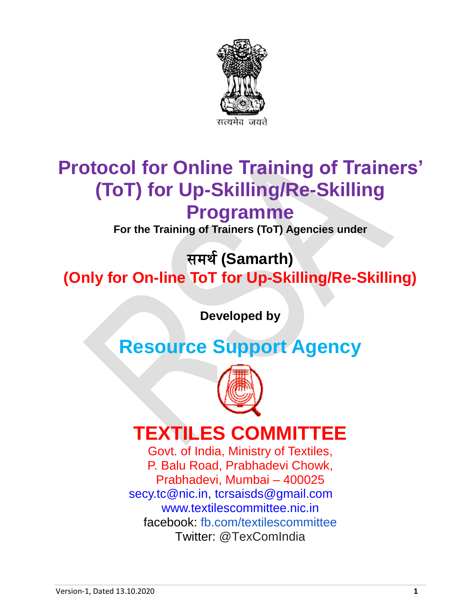

# **Protocol for Online Training of Trainers' (ToT) for Up-Skilling/Re-Skilling Programme**

**For the Training of Trainers (ToT) Agencies under**

समर्थ**(Samarth) (Only for On-line ToT for Up-Skilling/Re-Skilling)**

**Developed by**

# **Resource Support Agency**



## **TEXTILES COMMITTEE**

Govt. of India, Ministry of Textiles, P. Balu Road, Prabhadevi Chowk, Prabhadevi, Mumbai – 400025 [secy.tc@nic.in,](mailto:secy.tc@nic.in) [tcrsaisds@gmail.com](mailto:tcrsaisds@gmail.com) [www.textilescommittee.nic.in](http://www.textilescommittee.nic.in/) facebook: [fb.com/textilescommittee](http://fb.com/) Twitter: @TexComIndia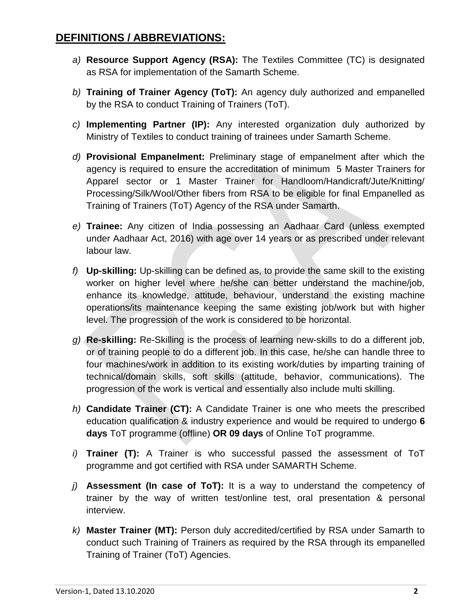- *a)* **Resource Support Agency (RSA):** The Textiles Committee (TC) is designated as RSA for implementation of the Samarth Scheme.
- *b)* **Training of Trainer Agency (ToT):** An agency duly authorized and empanelled by the RSA to conduct Training of Trainers (ToT).
- *c)* **Implementing Partner (IP):** Any interested organization duly authorized by Ministry of Textiles to conduct training of trainees under Samarth Scheme.
- *d)* **Provisional Empanelment:** Preliminary stage of empanelment after which the agency is required to ensure the accreditation of minimum 5 Master Trainers for Apparel sector or 1 Master Trainer for Handloom/Handicraft/Jute/Knitting/ Processing/Silk/Wool/Other fibers from RSA to be eligible for final Empanelled as Training of Trainers (ToT) Agency of the RSA under Samarth.
- *e)* **Trainee:** Any citizen of India possessing an Aadhaar Card (unless exempted under Aadhaar Act, 2016) with age over 14 years or as prescribed under relevant labour law.
- *f)* **Up-skilling:** Up-skilling can be defined as, to provide the same skill to the existing worker on higher level where he/she can better understand the machine/job, enhance its knowledge, attitude, behaviour, understand the existing machine operations/its maintenance keeping the same existing job/work but with higher level. The progression of the work is considered to be horizontal.
- *g)* **Re-skilling:** Re-Skilling is the process of learning new-skills to do a different job, or of training people to do a different job. In this case, he/she can handle three to four machines/work in addition to its existing work/duties by imparting training of technical/domain skills, soft skills (attitude, behavior, communications). The progression of the work is vertical and essentially also include multi skilling.
- *h)* **Candidate Trainer (CT):** A Candidate Trainer is one who meets the prescribed education qualification & industry experience and would be required to undergo **6 days** ToT programme (offline) **OR 09 days** of Online ToT programme.
- *i)* **Trainer (T):** A Trainer is who successful passed the assessment of ToT programme and got certified with RSA under SAMARTH Scheme.
- *j)* **Assessment (In case of ToT):** It is a way to understand the competency of trainer by the way of written test/online test, oral presentation & personal interview.
- *k)* **Master Trainer (MT):** Person duly accredited/certified by RSA under Samarth to conduct such Training of Trainers as required by the RSA through its empanelled Training of Trainer (ToT) Agencies.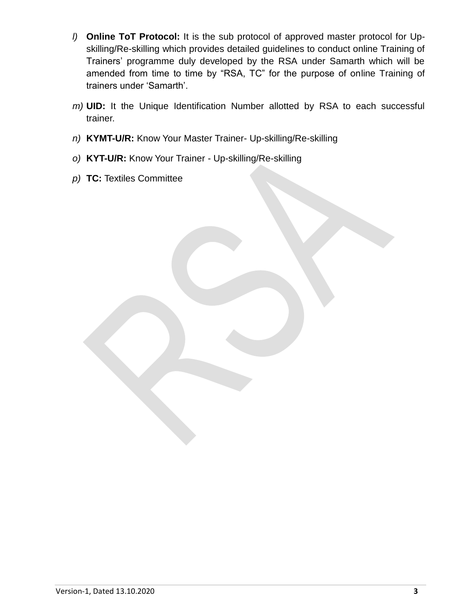- *l)* **Online ToT Protocol:** It is the sub protocol of approved master protocol for Upskilling/Re-skilling which provides detailed guidelines to conduct online Training of Trainers' programme duly developed by the RSA under Samarth which will be amended from time to time by "RSA, TC" for the purpose of online Training of trainers under 'Samarth'.
- *m)* **UID:** It the Unique Identification Number allotted by RSA to each successful trainer.
- *n)* **KYMT-U/R:** Know Your Master Trainer- Up-skilling/Re-skilling
- *o)* **KYT-U/R:** Know Your Trainer Up-skilling/Re-skilling
- *p)* **TC:** Textiles Committee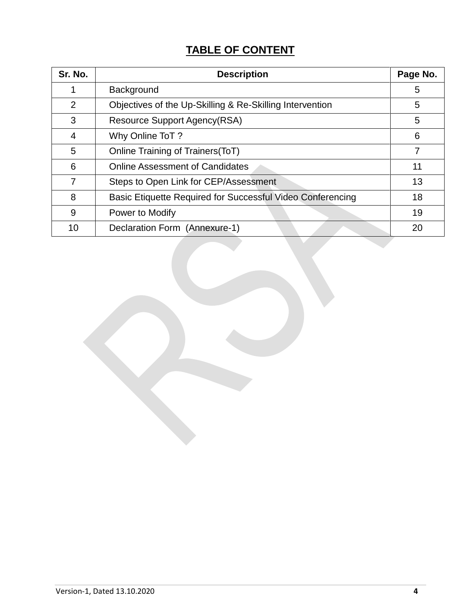## **TABLE OF CONTENT**

| Sr. No. | <b>Description</b>                                         | Page No.       |
|---------|------------------------------------------------------------|----------------|
|         | Background                                                 | 5              |
| 2       | Objectives of the Up-Skilling & Re-Skilling Intervention   | 5              |
| 3       | Resource Support Agency(RSA)                               | 5              |
| 4       | Why Online ToT?                                            | 6              |
| 5       | Online Training of Trainers (ToT)                          | $\overline{7}$ |
| 6       | <b>Online Assessment of Candidates</b>                     | 11             |
| 7       | Steps to Open Link for CEP/Assessment                      | 13             |
| 8       | Basic Etiquette Required for Successful Video Conferencing | 18             |
| 9       | Power to Modify                                            | 19             |
| 10      | Declaration Form (Annexure-1)                              | 20             |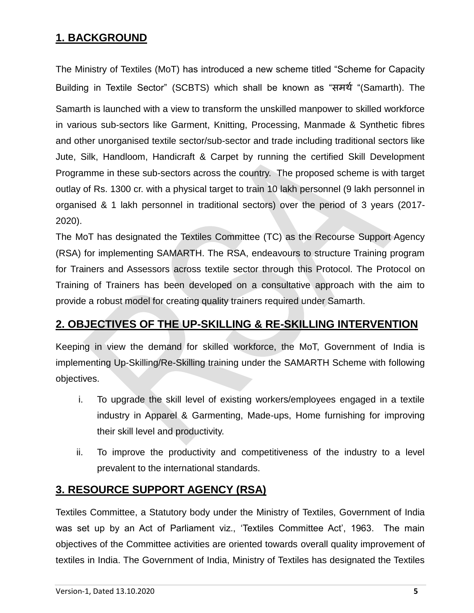## **1. BACKGROUND**

The Ministry of Textiles (MoT) has introduced a new scheme titled "Scheme for Capacity Building in Textile Sector" (SCBTS) which shall be known as "समर्थ "(Samarth). The Samarth is launched with a view to transform the unskilled manpower to skilled workforce in various sub-sectors like Garment, Knitting, Processing, Manmade & Synthetic fibres and other unorganised textile sector/sub-sector and trade including traditional sectors like Jute, Silk, Handloom, Handicraft & Carpet by running the certified Skill Development Programme in these sub-sectors across the country. The proposed scheme is with target outlay of Rs. 1300 cr. with a physical target to train 10 lakh personnel (9 lakh personnel in organised & 1 lakh personnel in traditional sectors) over the period of 3 years (2017- 2020).

The MoT has designated the Textiles Committee (TC) as the Recourse Support Agency (RSA) for implementing SAMARTH. The RSA, endeavours to structure Training program for Trainers and Assessors across textile sector through this Protocol. The Protocol on Training of Trainers has been developed on a consultative approach with the aim to provide a robust model for creating quality trainers required under Samarth.

## **2. OBJECTIVES OF THE UP-SKILLING & RE-SKILLING INTERVENTION**

Keeping in view the demand for skilled workforce, the MoT, Government of India is implementing Up-Skilling/Re-Skilling training under the SAMARTH Scheme with following objectives.

- i. To upgrade the skill level of existing workers/employees engaged in a textile industry in Apparel & Garmenting, Made-ups, Home furnishing for improving their skill level and productivity.
- ii. To improve the productivity and competitiveness of the industry to a level prevalent to the international standards.

### **3. RESOURCE SUPPORT AGENCY (RSA)**

Textiles Committee, a Statutory body under the Ministry of Textiles, Government of India was set up by an Act of Parliament viz., 'Textiles Committee Act', 1963. The main objectives of the Committee activities are oriented towards overall quality improvement of textiles in India. The Government of India, Ministry of Textiles has designated the Textiles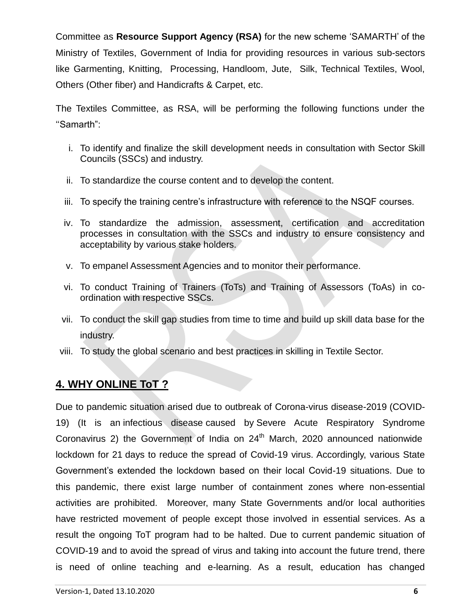Committee as **Resource Support Agency (RSA)** for the new scheme 'SAMARTH' of the Ministry of Textiles, Government of India for providing resources in various sub-sectors like Garmenting, Knitting, Processing, Handloom, Jute, Silk, Technical Textiles, Wool, Others (Other fiber) and Handicrafts & Carpet, etc.

The Textiles Committee, as RSA, will be performing the following functions under the ''Samarth":

- i. To identify and finalize the skill development needs in consultation with Sector Skill Councils (SSCs) and industry.
- ii. To standardize the course content and to develop the content.
- iii. To specify the training centre's infrastructure with reference to the NSQF courses.
- iv. To standardize the admission, assessment, certification and accreditation processes in consultation with the SSCs and industry to ensure consistency and acceptability by various stake holders.
- v. To empanel Assessment Agencies and to monitor their performance.
- vi. To conduct Training of Trainers (ToTs) and Training of Assessors (ToAs) in coordination with respective SSCs.
- vii. To conduct the skill gap studies from time to time and build up skill data base for the industry.
- viii. To study the global scenario and best practices in skilling in Textile Sector.

## **4. WHY ONLINE ToT ?**

Due to pandemic situation arised due to outbreak of Corona-virus disease-2019 (COVID-19) (It is an [infectious disease](https://en.wikipedia.org/wiki/Infectious_disease) caused by Severe [Acute Respiratory Syndrome](https://en.wikipedia.org/wiki/Severe_acute_respiratory_syndrome_coronavirus_2)  [Coronavirus 2\)](https://en.wikipedia.org/wiki/Severe_acute_respiratory_syndrome_coronavirus_2) the Government of India on  $24<sup>th</sup>$  March, 2020 announced nationwide lockdown for 21 days to reduce the spread of Covid-19 virus. Accordingly, various State Government's extended the lockdown based on their local Covid-19 situations. Due to this pandemic, there exist large number of containment zones where non-essential activities are prohibited. Moreover, many State Governments and/or local authorities have restricted movement of people except those involved in essential services. As a result the ongoing ToT program had to be halted. Due to current pandemic situation of COVID-19 and to avoid the spread of virus and taking into account the future trend, there is need of online teaching and e-learning. As a result, education has changed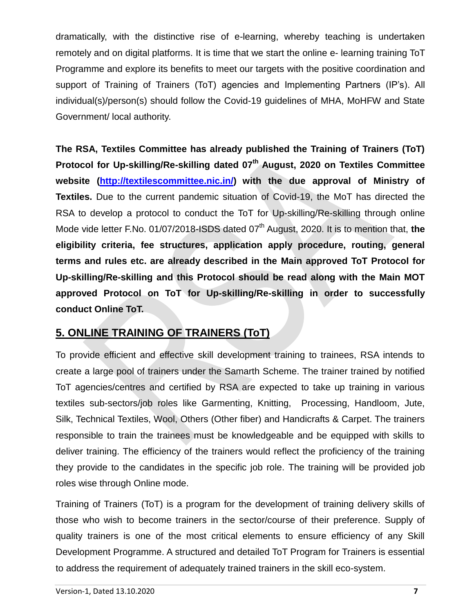dramatically, with the distinctive rise of e-learning, whereby teaching is undertaken remotely and on digital platforms. It is time that we start the online e- learning training ToT Programme and explore its benefits to meet our targets with the positive coordination and support of Training of Trainers (ToT) agencies and Implementing Partners (IP's). All individual(s)/person(s) should follow the Covid-19 guidelines of MHA, MoHFW and State Government/ local authority.

**The RSA, Textiles Committee has already published the Training of Trainers (ToT) Protocol for Up-skilling/Re-skilling dated 07th August, 2020 on Textiles Committee**  website [\(http://textilescommittee.nic.in/\)](http://textilescommittee.nic.in/) with the due approval of Ministry of **Textiles.** Due to the current pandemic situation of Covid-19, the MoT has directed the RSA to develop a protocol to conduct the ToT for Up-skilling/Re-skilling through online Mode vide letter F.No. 01/07/2018-ISDS dated 07<sup>th</sup> August, 2020. It is to mention that, the **eligibility criteria, fee structures, application apply procedure, routing, general terms and rules etc. are already described in the Main approved ToT Protocol for Up-skilling/Re-skilling and this Protocol should be read along with the Main MOT approved Protocol on ToT for Up-skilling/Re-skilling in order to successfully conduct Online ToT.**

## **5. ONLINE TRAINING OF TRAINERS (ToT)**

To provide efficient and effective skill development training to trainees, RSA intends to create a large pool of trainers under the Samarth Scheme. The trainer trained by notified ToT agencies/centres and certified by RSA are expected to take up training in various textiles sub-sectors/job roles like Garmenting, Knitting, Processing, Handloom, Jute, Silk, Technical Textiles, Wool, Others (Other fiber) and Handicrafts & Carpet. The trainers responsible to train the trainees must be knowledgeable and be equipped with skills to deliver training. The efficiency of the trainers would reflect the proficiency of the training they provide to the candidates in the specific job role. The training will be provided job roles wise through Online mode.

Training of Trainers (ToT) is a program for the development of training delivery skills of those who wish to become trainers in the sector/course of their preference. Supply of quality trainers is one of the most critical elements to ensure efficiency of any Skill Development Programme. A structured and detailed ToT Program for Trainers is essential to address the requirement of adequately trained trainers in the skill eco-system.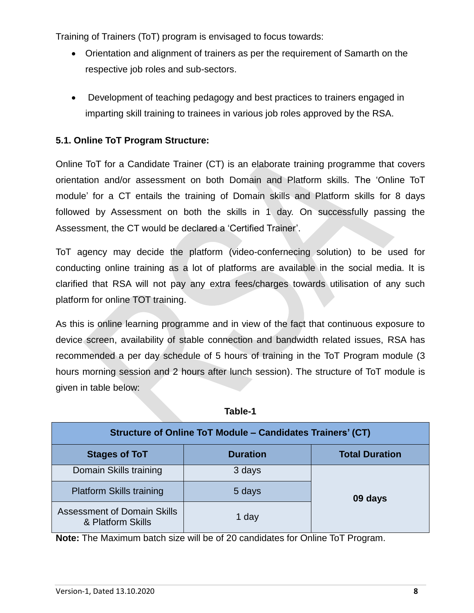Training of Trainers (ToT) program is envisaged to focus towards:

- Orientation and alignment of trainers as per the requirement of Samarth on the respective job roles and sub-sectors.
- Development of teaching pedagogy and best practices to trainers engaged in imparting skill training to trainees in various job roles approved by the RSA.

#### **5.1. Online ToT Program Structure:**

Online ToT for a Candidate Trainer (CT) is an elaborate training programme that covers orientation and/or assessment on both Domain and Platform skills. The 'Online ToT module' for a CT entails the training of Domain skills and Platform skills for 8 days followed by Assessment on both the skills in 1 day. On successfully passing the Assessment, the CT would be declared a 'Certified Trainer'.

ToT agency may decide the platform (video-confernecing solution) to be used for conducting online training as a lot of platforms are available in the social media. It is clarified that RSA will not pay any extra fees/charges towards utilisation of any such platform for online TOT training.

As this is online learning programme and in view of the fact that continuous exposure to device screen, availability of stable connection and bandwidth related issues, RSA has recommended a per day schedule of 5 hours of training in the ToT Program module (3 hours morning session and 2 hours after lunch session). The structure of ToT module is given in table below:

| Structure of Online ToT Module - Candidates Trainers' (CT) |                 |                       |  |  |  |  |
|------------------------------------------------------------|-----------------|-----------------------|--|--|--|--|
| <b>Stages of ToT</b>                                       | <b>Duration</b> | <b>Total Duration</b> |  |  |  |  |
| Domain Skills training                                     | 3 days          | 09 days               |  |  |  |  |
| <b>Platform Skills training</b>                            | 5 days          |                       |  |  |  |  |
| <b>Assessment of Domain Skills</b><br>& Platform Skills    | 1 day           |                       |  |  |  |  |

**Table-1**

**Note:** The Maximum batch size will be of 20 candidates for Online ToT Program.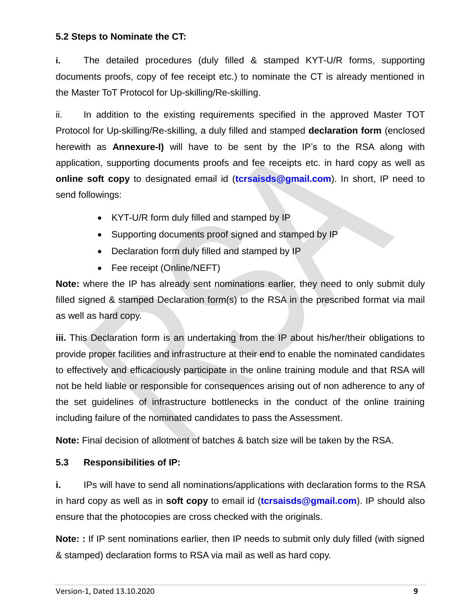#### **5.2 Steps to Nominate the CT:**

**i.** The detailed procedures (duly filled & stamped KYT-U/R forms, supporting documents proofs, copy of fee receipt etc.) to nominate the CT is already mentioned in the Master ToT Protocol for Up-skilling/Re-skilling.

ii. In addition to the existing requirements specified in the approved Master TOT Protocol for Up-skilling/Re-skilling, a duly filled and stamped **declaration form** (enclosed herewith as **Annexure-I)** will have to be sent by the IP's to the RSA along with application, supporting documents proofs and fee receipts etc. in hard copy as well as **online soft copy** to designated email id (**[tcrsaisds@gmail.com](mailto:tcrsaisds@gmail.com)**). In short, IP need to send followings:

- KYT-U/R form duly filled and stamped by IP
- Supporting documents proof signed and stamped by IP
- Declaration form duly filled and stamped by IP
- Fee receipt (Online/NEFT)

**Note:** where the IP has already sent nominations earlier, they need to only submit duly filled signed & stamped Declaration form(s) to the RSA in the prescribed format via mail as well as hard copy.

**iii.** This Declaration form is an undertaking from the IP about his/her/their obligations to provide proper facilities and infrastructure at their end to enable the nominated candidates to effectively and efficaciously participate in the online training module and that RSA will not be held liable or responsible for consequences arising out of non adherence to any of the set guidelines of infrastructure bottlenecks in the conduct of the online training including failure of the nominated candidates to pass the Assessment.

**Note:** Final decision of allotment of batches & batch size will be taken by the RSA.

#### **5.3 Responsibilities of IP:**

**i.** IPs will have to send all nominations/applications with declaration forms to the RSA in hard copy as well as in **soft copy** to email id (**[tcrsaisds@gmail.com](mailto:tcrsaisds@gmail.com)**). IP should also ensure that the photocopies are cross checked with the originals.

**Note: :** If IP sent nominations earlier, then IP needs to submit only duly filled (with signed & stamped) declaration forms to RSA via mail as well as hard copy.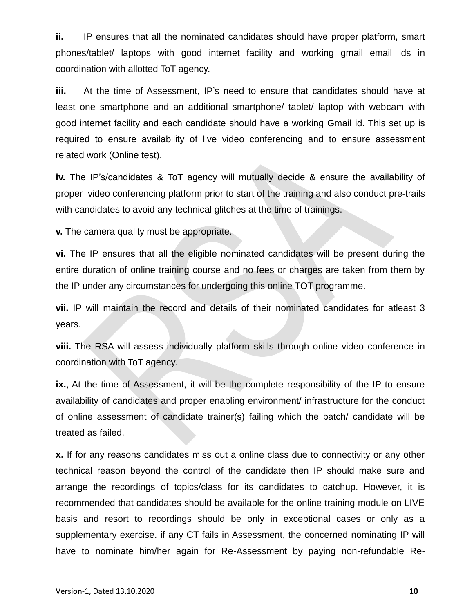**ii.** IP ensures that all the nominated candidates should have proper platform, smart phones/tablet/ laptops with good internet facility and working gmail email ids in coordination with allotted ToT agency.

**iii.** At the time of Assessment, IP's need to ensure that candidates should have at least one smartphone and an additional smartphone/ tablet/ laptop with webcam with good internet facility and each candidate should have a working Gmail id. This set up is required to ensure availability of live video conferencing and to ensure assessment related work (Online test).

**iv.** The IP's/candidates & ToT agency will mutually decide & ensure the availability of proper video conferencing platform prior to start of the training and also conduct pre-trails with candidates to avoid any technical glitches at the time of trainings.

**v.** The camera quality must be appropriate.

**vi.** The IP ensures that all the eligible nominated candidates will be present during the entire duration of online training course and no fees or charges are taken from them by the IP under any circumstances for undergoing this online TOT programme.

**vii.** IP will maintain the record and details of their nominated candidates for atleast 3 years.

**viii.** The RSA will assess individually platform skills through online video conference in coordination with ToT agency.

**ix.**, At the time of Assessment, it will be the complete responsibility of the IP to ensure availability of candidates and proper enabling environment/ infrastructure for the conduct of online assessment of candidate trainer(s) failing which the batch/ candidate will be treated as failed.

**x.** If for any reasons candidates miss out a online class due to connectivity or any other technical reason beyond the control of the candidate then IP should make sure and arrange the recordings of topics/class for its candidates to catchup. However, it is recommended that candidates should be available for the online training module on LIVE basis and resort to recordings should be only in exceptional cases or only as a supplementary exercise. if any CT fails in Assessment, the concerned nominating IP will have to nominate him/her again for Re-Assessment by paying non-refundable Re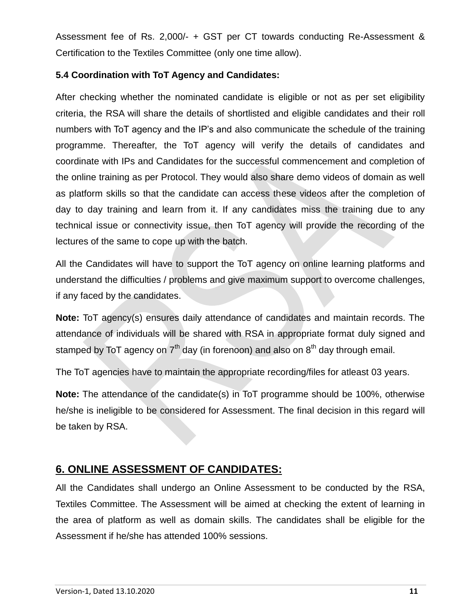Assessment fee of Rs. 2,000/- + GST per CT towards conducting Re-Assessment & Certification to the Textiles Committee (only one time allow).

#### **5.4 Coordination with ToT Agency and Candidates:**

After checking whether the nominated candidate is eligible or not as per set eligibility criteria, the RSA will share the details of shortlisted and eligible candidates and their roll numbers with ToT agency and the IP's and also communicate the schedule of the training programme. Thereafter, the ToT agency will verify the details of candidates and coordinate with IPs and Candidates for the successful commencement and completion of the online training as per Protocol. They would also share demo videos of domain as well as platform skills so that the candidate can access these videos after the completion of day to day training and learn from it. If any candidates miss the training due to any technical issue or connectivity issue, then ToT agency will provide the recording of the lectures of the same to cope up with the batch.

All the Candidates will have to support the ToT agency on online learning platforms and understand the difficulties / problems and give maximum support to overcome challenges, if any faced by the candidates.

**Note:** ToT agency(s) ensures daily attendance of candidates and maintain records. The attendance of individuals will be shared with RSA in appropriate format duly signed and stamped by ToT agency on  $7<sup>th</sup>$  day (in forenoon) and also on  $8<sup>th</sup>$  day through email.

The ToT agencies have to maintain the appropriate recording/files for atleast 03 years.

**Note:** The attendance of the candidate(s) in ToT programme should be 100%, otherwise he/she is ineligible to be considered for Assessment. The final decision in this regard will be taken by RSA.

### **6. ONLINE ASSESSMENT OF CANDIDATES:**

All the Candidates shall undergo an Online Assessment to be conducted by the RSA, Textiles Committee. The Assessment will be aimed at checking the extent of learning in the area of platform as well as domain skills. The candidates shall be eligible for the Assessment if he/she has attended 100% sessions.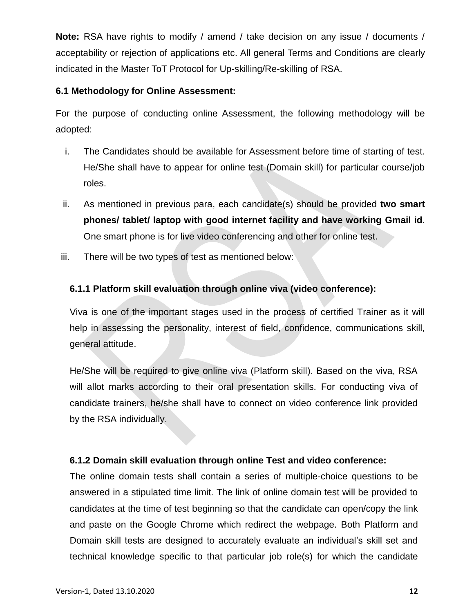**Note:** RSA have rights to modify / amend / take decision on any issue / documents / acceptability or rejection of applications etc. All general Terms and Conditions are clearly indicated in the Master ToT Protocol for Up-skilling/Re-skilling of RSA.

#### **6.1 Methodology for Online Assessment:**

For the purpose of conducting online Assessment, the following methodology will be adopted:

- i. The Candidates should be available for Assessment before time of starting of test. He/She shall have to appear for online test (Domain skill) for particular course/job roles.
- ii. As mentioned in previous para, each candidate(s) should be provided **two smart phones/ tablet/ laptop with good internet facility and have working Gmail id**. One smart phone is for live video conferencing and other for online test.
- iii. There will be two types of test as mentioned below:

#### **6.1.1 Platform skill evaluation through online viva (video conference):**

Viva is one of the important stages used in the process of certified Trainer as it will help in assessing the personality, interest of field, confidence, communications skill, general attitude.

He/She will be required to give online viva (Platform skill). Based on the viva, RSA will allot marks according to their oral presentation skills. For conducting viva of candidate trainers, he/she shall have to connect on video conference link provided by the RSA individually.

#### **6.1.2 Domain skill evaluation through online Test and video conference:**

The online domain tests shall contain a series of multiple-choice questions to be answered in a stipulated time limit. The link of online domain test will be provided to candidates at the time of test beginning so that the candidate can open/copy the link and paste on the Google Chrome which redirect the webpage. Both Platform and Domain skill tests are designed to accurately evaluate an individual's skill set and technical knowledge specific to that particular job role(s) for which the candidate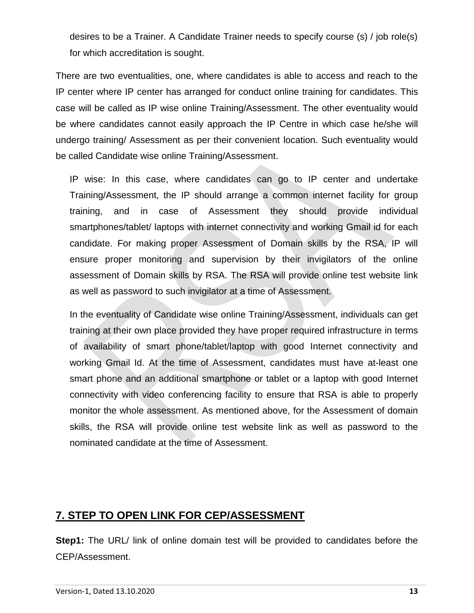desires to be a Trainer. A Candidate Trainer needs to specify course (s) / job role(s) for which accreditation is sought.

There are two eventualities, one, where candidates is able to access and reach to the IP center where IP center has arranged for conduct online training for candidates. This case will be called as IP wise online Training/Assessment. The other eventuality would be where candidates cannot easily approach the IP Centre in which case he/she will undergo training/ Assessment as per their convenient location. Such eventuality would be called Candidate wise online Training/Assessment.

IP wise: In this case, where candidates can go to IP center and undertake Training/Assessment, the IP should arrange a common internet facility for group training, and in case of Assessment they should provide individual smartphones/tablet/ laptops with internet connectivity and working Gmail id for each candidate. For making proper Assessment of Domain skills by the RSA, IP will ensure proper monitoring and supervision by their invigilators of the online assessment of Domain skills by RSA. The RSA will provide online test website link as well as password to such invigilator at a time of Assessment.

In the eventuality of Candidate wise online Training/Assessment, individuals can get training at their own place provided they have proper required infrastructure in terms of availability of smart phone/tablet/laptop with good Internet connectivity and working Gmail Id. At the time of Assessment, candidates must have at-least one smart phone and an additional smartphone or tablet or a laptop with good Internet connectivity with video conferencing facility to ensure that RSA is able to properly monitor the whole assessment. As mentioned above, for the Assessment of domain skills, the RSA will provide online test website link as well as password to the nominated candidate at the time of Assessment.

### **7. STEP TO OPEN LINK FOR CEP/ASSESSMENT**

**Step1:** The URL/ link of online domain test will be provided to candidates before the CEP/Assessment.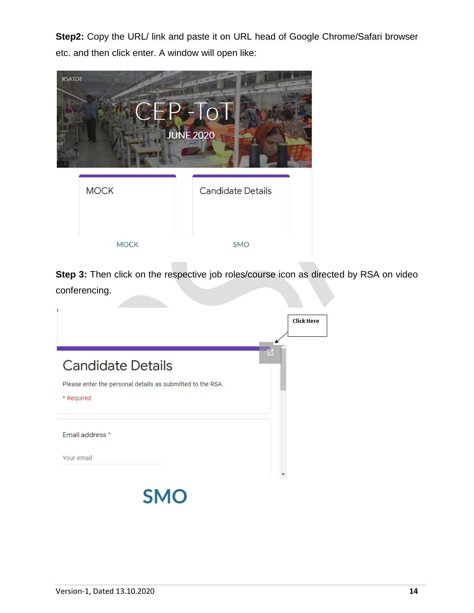**Step2:** Copy the URL/ link and paste it on URL head of Google Chrome/Safari browser etc. and then click enter. A window will open like:



**Step 3:** Then click on the respective job roles/course icon as directed by RSA on video conferencing.

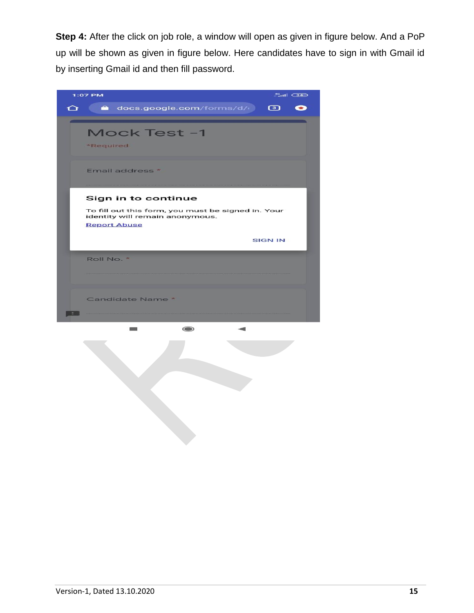**Step 4:** After the click on job role, a window will open as given in figure below. And a PoP up will be shown as given in figure below. Here candidates have to sign in with Gmail id by inserting Gmail id and then fill password.

| $^{40}_{-41}$ (34)<br>1:07 PM                                                         |  |  |  |  |
|---------------------------------------------------------------------------------------|--|--|--|--|
| a docs.google.com/forms/d/c 3<br>$\Omega$<br>œ                                        |  |  |  |  |
|                                                                                       |  |  |  |  |
| Mock Test -1                                                                          |  |  |  |  |
| *Required                                                                             |  |  |  |  |
| Email address *                                                                       |  |  |  |  |
|                                                                                       |  |  |  |  |
| Sign in to continue                                                                   |  |  |  |  |
| To fill out this form, you must be signed in. Your<br>identity will remain anonymous. |  |  |  |  |
| <b>Report Abuse</b>                                                                   |  |  |  |  |
| <b>SIGN IN</b>                                                                        |  |  |  |  |
| Roll No. *                                                                            |  |  |  |  |
|                                                                                       |  |  |  |  |
|                                                                                       |  |  |  |  |
| Candidate Name *                                                                      |  |  |  |  |
|                                                                                       |  |  |  |  |
| $\circ$<br><b>College</b><br>◢                                                        |  |  |  |  |
|                                                                                       |  |  |  |  |
|                                                                                       |  |  |  |  |
|                                                                                       |  |  |  |  |
|                                                                                       |  |  |  |  |
|                                                                                       |  |  |  |  |
|                                                                                       |  |  |  |  |
|                                                                                       |  |  |  |  |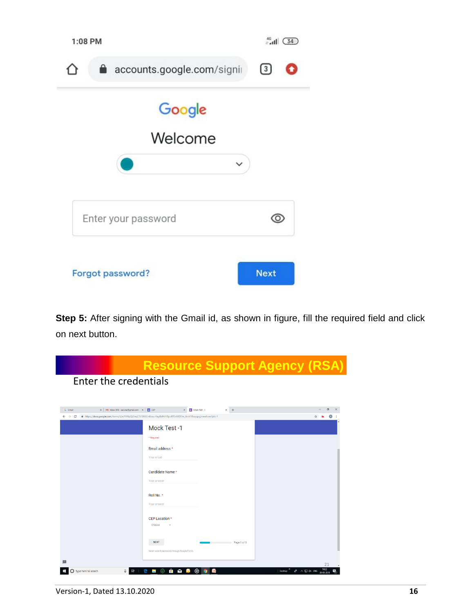

**Step 5:** After signing with the Gmail id, as shown in figure, fill the required field and click on next button.

|                              | <b>Resource Support Agency (RSA)</b><br>Enter the credentials                                             |    |
|------------------------------|-----------------------------------------------------------------------------------------------------------|----|
|                              |                                                                                                           |    |
| G Gmail                      | $\times$ +<br>X   M Inbox (54) - aacrsa@gmail.com - X   - CEP<br>Mock Test -1<br>$\times$                 |    |
| $\leftarrow$ $\rightarrow$ C | https://docs.google.com/forms/d/e/1FAIpQLSeqCEVSNSGn6buu-Fay4IsMrHBpu8TSxXKD5Iw_6mh1Rwyqpg/viewform?pli=1 |    |
|                              | Mock Test-1                                                                                               |    |
|                              | * Reguired                                                                                                |    |
|                              | Email address *                                                                                           |    |
|                              | Your email                                                                                                |    |
|                              | Candidate Name *                                                                                          |    |
|                              | Your answer                                                                                               |    |
|                              | Roll No. *                                                                                                |    |
|                              | Your answer                                                                                               |    |
|                              |                                                                                                           |    |
|                              | CEP Location *<br>Choose                                                                                  |    |
|                              |                                                                                                           |    |
|                              | <b>NEXT</b><br>Page 1 of 3                                                                                |    |
|                              | Never submit passwords through Google Forms.                                                              |    |
|                              |                                                                                                           | 21 |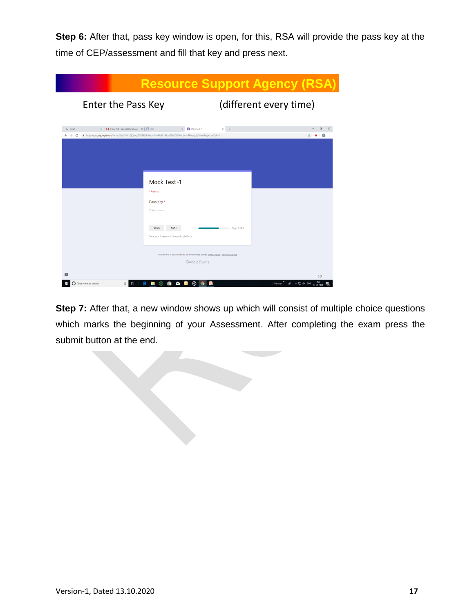**Step 6:** After that, pass key window is open, for this, RSA will provide the pass key at the time of CEP/assessment and fill that key and press next.

|                                                                                               |                                                                                                                                         | <b>Resource Support Agency (RSA)</b> |                                                      |
|-----------------------------------------------------------------------------------------------|-----------------------------------------------------------------------------------------------------------------------------------------|--------------------------------------|------------------------------------------------------|
| Enter the Pass Key                                                                            |                                                                                                                                         | (different every time)               |                                                      |
| X   M Inbox (54) - aaczsa@gmail.com - X   - CEP<br>G Gmail<br>$\leftarrow$ $\rightarrow$<br>c | Mock Test -1<br>fthttps://docs.google.com/forms/d/e/1FAlpQLSeqCEVSNSGn6buu-Fay4lsMrHBpu8TSxXKD5lw_6mh1Rwyqpg/formResponse?pli=1         | $\times$ +                           |                                                      |
|                                                                                               |                                                                                                                                         |                                      |                                                      |
|                                                                                               |                                                                                                                                         |                                      |                                                      |
|                                                                                               | Mock Test -1<br>* Required                                                                                                              |                                      |                                                      |
|                                                                                               | Pass Key *<br>Your answer                                                                                                               |                                      |                                                      |
|                                                                                               | <b>BACK</b><br><b>NEXT</b>                                                                                                              | Page 2 of 3                          |                                                      |
|                                                                                               | Never submit passwords through Google Forms.<br>This content is neither created nor endorsed by Google. Report Abuse - Terms of Service |                                      |                                                      |
|                                                                                               | Google Forms                                                                                                                            |                                      |                                                      |
| Type here to search<br>冒                                                                      | ම<br>R<br>P.<br><b>Dog</b><br>œ                                                                                                         | Desktop                              | 22<br>14:23<br>d <sup>R</sup> へ口 dx ENG<br>20-05-201 |

**Step 7:** After that, a new window shows up which will consist of multiple choice questions which marks the beginning of your Assessment. After completing the exam press the submit button at the end.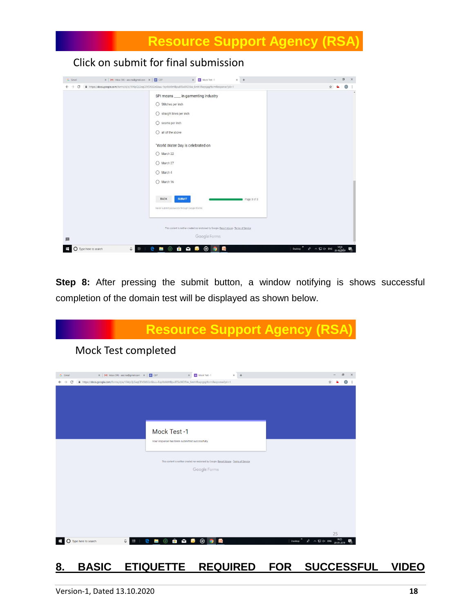

**Step 8:** After pressing the submit button, a window notifying is shows successful completion of the domain test will be displayed as shown below.



## **8. BASIC ETIQUETTE REQUIRED FOR SUCCESSFUL VIDEO**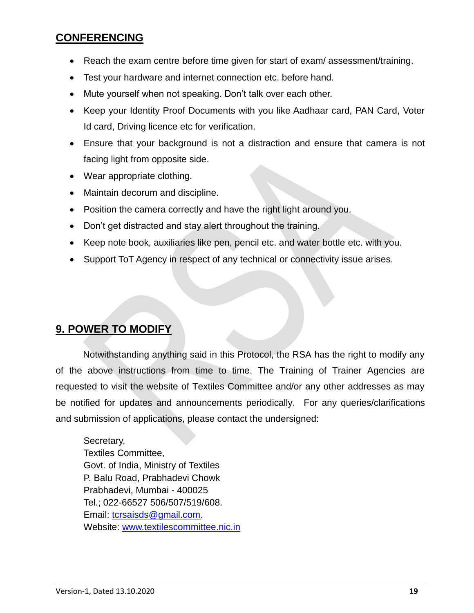## **CONFERENCING**

- Reach the exam centre before time given for start of exam/ assessment/training.
- Test your hardware and internet connection etc. before hand.
- Mute yourself when not speaking. Don't talk over each other.
- Keep your Identity Proof Documents with you like Aadhaar card, PAN Card, Voter Id card, Driving licence etc for verification.
- Ensure that your background is not a distraction and ensure that camera is not facing light from opposite side.
- Wear appropriate clothing.
- Maintain decorum and discipline.
- Position the camera correctly and have the right light around you.
- Don't get distracted and stay alert throughout the training.
- Keep note book, auxiliaries like pen, pencil etc. and water bottle etc. with you.
- Support ToT Agency in respect of any technical or connectivity issue arises.

## **9. POWER TO MODIFY**

Notwithstanding anything said in this Protocol, the RSA has the right to modify any of the above instructions from time to time. The Training of Trainer Agencies are requested to visit the website of Textiles Committee and/or any other addresses as may be notified for updates and announcements periodically. For any queries/clarifications and submission of applications, please contact the undersigned:

Secretary, Textiles Committee, Govt. of India, Ministry of Textiles P. Balu Road, Prabhadevi Chowk Prabhadevi, Mumbai - 400025 Tel.; 022-66527 506/507/519/608. Email: [tcrsaisds@gmail.com.](mailto:tcrsaisds@gmail.com) Website: [www.textilescommittee.nic.in](http://www.textilescommittee.nic.in/)